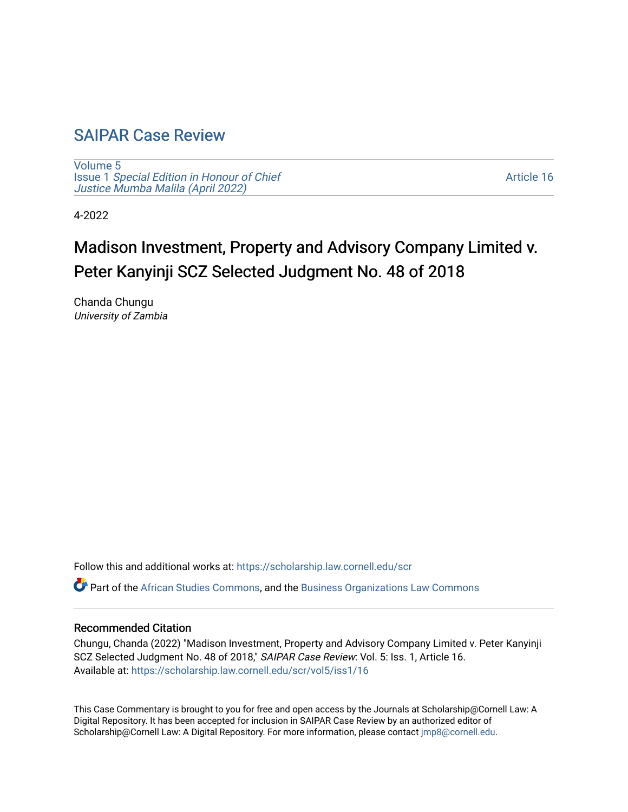## [SAIPAR Case Review](https://scholarship.law.cornell.edu/scr)

[Volume 5](https://scholarship.law.cornell.edu/scr/vol5) Issue 1 [Special Edition in Honour of Chief](https://scholarship.law.cornell.edu/scr/vol5/iss1) [Justice Mumba Malila \(April 2022\)](https://scholarship.law.cornell.edu/scr/vol5/iss1)

[Article 16](https://scholarship.law.cornell.edu/scr/vol5/iss1/16) 

4-2022

# Madison Investment, Property and Advisory Company Limited v. Peter Kanyinji SCZ Selected Judgment No. 48 of 2018

Chanda Chungu University of Zambia

Follow this and additional works at: [https://scholarship.law.cornell.edu/scr](https://scholarship.law.cornell.edu/scr?utm_source=scholarship.law.cornell.edu%2Fscr%2Fvol5%2Fiss1%2F16&utm_medium=PDF&utm_campaign=PDFCoverPages) 

Part of the [African Studies Commons,](https://network.bepress.com/hgg/discipline/1043?utm_source=scholarship.law.cornell.edu%2Fscr%2Fvol5%2Fiss1%2F16&utm_medium=PDF&utm_campaign=PDFCoverPages) and the [Business Organizations Law Commons](https://network.bepress.com/hgg/discipline/900?utm_source=scholarship.law.cornell.edu%2Fscr%2Fvol5%2Fiss1%2F16&utm_medium=PDF&utm_campaign=PDFCoverPages) 

#### Recommended Citation

Chungu, Chanda (2022) "Madison Investment, Property and Advisory Company Limited v. Peter Kanyinji SCZ Selected Judgment No. 48 of 2018," SAIPAR Case Review: Vol. 5: Iss. 1, Article 16. Available at: [https://scholarship.law.cornell.edu/scr/vol5/iss1/16](https://scholarship.law.cornell.edu/scr/vol5/iss1/16?utm_source=scholarship.law.cornell.edu%2Fscr%2Fvol5%2Fiss1%2F16&utm_medium=PDF&utm_campaign=PDFCoverPages) 

This Case Commentary is brought to you for free and open access by the Journals at Scholarship@Cornell Law: A Digital Repository. It has been accepted for inclusion in SAIPAR Case Review by an authorized editor of Scholarship@Cornell Law: A Digital Repository. For more information, please contact [jmp8@cornell.edu](mailto:jmp8@cornell.edu).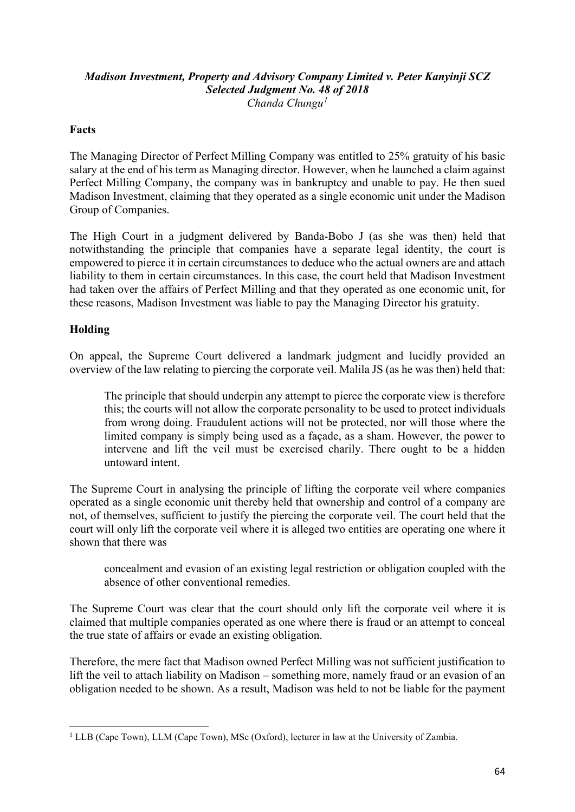#### *Madison Investment, Property and Advisory Company Limited v. Peter Kanyinji SCZ Selected Judgment No. 48 of 2018 Chanda Chungu[1](#page-1-0)*

#### **Facts**

The Managing Director of Perfect Milling Company was entitled to 25% gratuity of his basic salary at the end of his term as Managing director. However, when he launched a claim against Perfect Milling Company, the company was in bankruptcy and unable to pay. He then sued Madison Investment, claiming that they operated as a single economic unit under the Madison Group of Companies.

The High Court in a judgment delivered by Banda-Bobo J (as she was then) held that notwithstanding the principle that companies have a separate legal identity, the court is empowered to pierce it in certain circumstances to deduce who the actual owners are and attach liability to them in certain circumstances. In this case, the court held that Madison Investment had taken over the affairs of Perfect Milling and that they operated as one economic unit, for these reasons, Madison Investment was liable to pay the Managing Director his gratuity.

#### **Holding**

On appeal, the Supreme Court delivered a landmark judgment and lucidly provided an overview of the law relating to piercing the corporate veil. Malila JS (as he was then) held that:

The principle that should underpin any attempt to pierce the corporate view is therefore this; the courts will not allow the corporate personality to be used to protect individuals from wrong doing. Fraudulent actions will not be protected, nor will those where the limited company is simply being used as a façade, as a sham. However, the power to intervene and lift the veil must be exercised charily. There ought to be a hidden untoward intent.

The Supreme Court in analysing the principle of lifting the corporate veil where companies operated as a single economic unit thereby held that ownership and control of a company are not, of themselves, sufficient to justify the piercing the corporate veil. The court held that the court will only lift the corporate veil where it is alleged two entities are operating one where it shown that there was

concealment and evasion of an existing legal restriction or obligation coupled with the absence of other conventional remedies.

The Supreme Court was clear that the court should only lift the corporate veil where it is claimed that multiple companies operated as one where there is fraud or an attempt to conceal the true state of affairs or evade an existing obligation.

Therefore, the mere fact that Madison owned Perfect Milling was not sufficient justification to lift the veil to attach liability on Madison – something more, namely fraud or an evasion of an obligation needed to be shown. As a result, Madison was held to not be liable for the payment

<span id="page-1-0"></span><sup>&</sup>lt;sup>1</sup> LLB (Cape Town), LLM (Cape Town), MSc (Oxford), lecturer in law at the University of Zambia.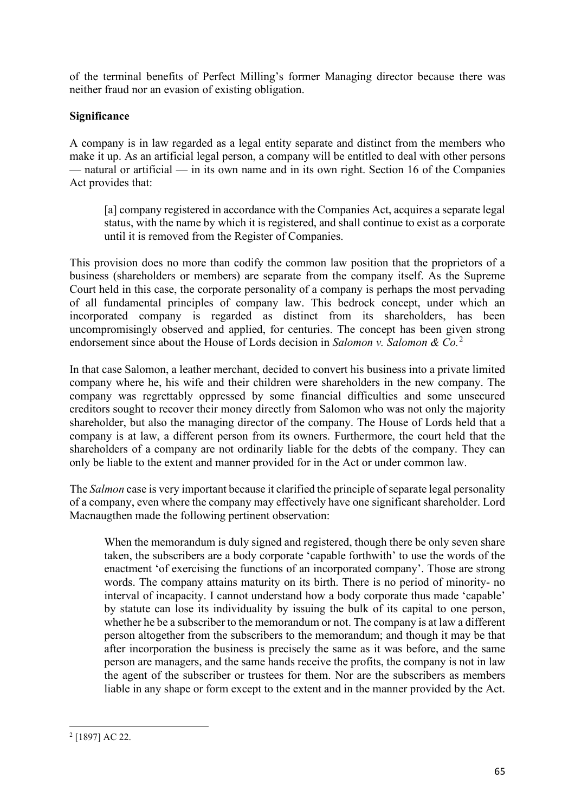of the terminal benefits of Perfect Milling's former Managing director because there was neither fraud nor an evasion of existing obligation.

### **Significance**

A company is in law regarded as a legal entity separate and distinct from the members who make it up. As an artificial legal person, a company will be entitled to deal with other persons — natural or artificial — in its own name and in its own right. Section 16 of the Companies Act provides that:

[a] company registered in accordance with the Companies Act, acquires a separate legal status, with the name by which it is registered, and shall continue to exist as a corporate until it is removed from the Register of Companies.

This provision does no more than codify the common law position that the proprietors of a business (shareholders or members) are separate from the company itself. As the Supreme Court held in this case, the corporate personality of a company is perhaps the most pervading of all fundamental principles of company law. This bedrock concept, under which an incorporated company is regarded as distinct from its shareholders, has been uncompromisingly observed and applied, for centuries. The concept has been given strong endorsement since about the House of Lords decision in *Salomon v. Salomon & Co.*[2](#page-2-0)

In that case Salomon, a leather merchant, decided to convert his business into a private limited company where he, his wife and their children were shareholders in the new company. The company was regrettably oppressed by some financial difficulties and some unsecured creditors sought to recover their money directly from Salomon who was not only the majority shareholder, but also the managing director of the company. The House of Lords held that a company is at law, a different person from its owners. Furthermore, the court held that the shareholders of a company are not ordinarily liable for the debts of the company. They can only be liable to the extent and manner provided for in the Act or under common law.

The *Salmon* case is very important because it clarified the principle of separate legal personality of a company, even where the company may effectively have one significant shareholder. Lord Macnaugthen made the following pertinent observation:

When the memorandum is duly signed and registered, though there be only seven share taken, the subscribers are a body corporate 'capable forthwith' to use the words of the enactment 'of exercising the functions of an incorporated company'. Those are strong words. The company attains maturity on its birth. There is no period of minority- no interval of incapacity. I cannot understand how a body corporate thus made 'capable' by statute can lose its individuality by issuing the bulk of its capital to one person, whether he be a subscriber to the memorandum or not. The company is at law a different person altogether from the subscribers to the memorandum; and though it may be that after incorporation the business is precisely the same as it was before, and the same person are managers, and the same hands receive the profits, the company is not in law the agent of the subscriber or trustees for them. Nor are the subscribers as members liable in any shape or form except to the extent and in the manner provided by the Act.

<span id="page-2-0"></span><sup>2</sup> [1897] AC 22.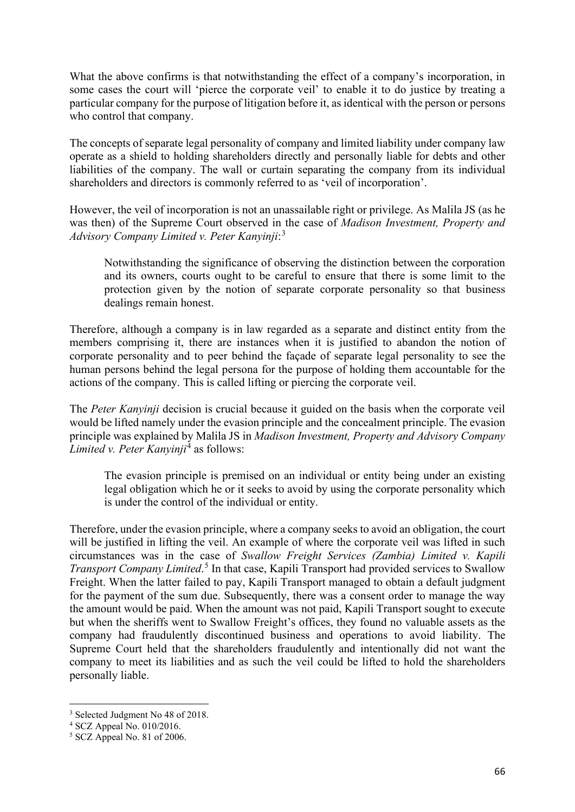What the above confirms is that notwithstanding the effect of a company's incorporation, in some cases the court will 'pierce the corporate veil' to enable it to do justice by treating a particular company for the purpose of litigation before it, as identical with the person or persons who control that company.

The concepts of separate legal personality of company and limited liability under company law operate as a shield to holding shareholders directly and personally liable for debts and other liabilities of the company. The wall or curtain separating the company from its individual shareholders and directors is commonly referred to as 'veil of incorporation'.

However, the veil of incorporation is not an unassailable right or privilege. As Malila JS (as he was then) of the Supreme Court observed in the case of *Madison Investment, Property and Advisory Company Limited v. Peter Kanyinji*: [3](#page-3-0)

Notwithstanding the significance of observing the distinction between the corporation and its owners, courts ought to be careful to ensure that there is some limit to the protection given by the notion of separate corporate personality so that business dealings remain honest.

Therefore, although a company is in law regarded as a separate and distinct entity from the members comprising it, there are instances when it is justified to abandon the notion of corporate personality and to peer behind the façade of separate legal personality to see the human persons behind the legal persona for the purpose of holding them accountable for the actions of the company. This is called lifting or piercing the corporate veil.

The *Peter Kanyinji* decision is crucial because it guided on the basis when the corporate veil would be lifted namely under the evasion principle and the concealment principle. The evasion principle was explained by Malila JS in *Madison Investment, Property and Advisory Company Limited v. Peter Kanyinji*[4](#page-3-1) as follows:

The evasion principle is premised on an individual or entity being under an existing legal obligation which he or it seeks to avoid by using the corporate personality which is under the control of the individual or entity.

Therefore, under the evasion principle, where a company seeks to avoid an obligation, the court will be justified in lifting the veil. An example of where the corporate veil was lifted in such circumstances was in the case of *Swallow Freight Services (Zambia) Limited v. Kapili Transport Company Limited*. [5](#page-3-2) In that case, Kapili Transport had provided services to Swallow Freight. When the latter failed to pay, Kapili Transport managed to obtain a default judgment for the payment of the sum due. Subsequently, there was a consent order to manage the way the amount would be paid. When the amount was not paid, Kapili Transport sought to execute but when the sheriffs went to Swallow Freight's offices, they found no valuable assets as the company had fraudulently discontinued business and operations to avoid liability. The Supreme Court held that the shareholders fraudulently and intentionally did not want the company to meet its liabilities and as such the veil could be lifted to hold the shareholders personally liable.

<span id="page-3-0"></span><sup>&</sup>lt;sup>3</sup> Selected Judgment No 48 of 2018.

<span id="page-3-1"></span><sup>4</sup> SCZ Appeal No. 010/2016.

<span id="page-3-2"></span><sup>5</sup> SCZ Appeal No. 81 of 2006.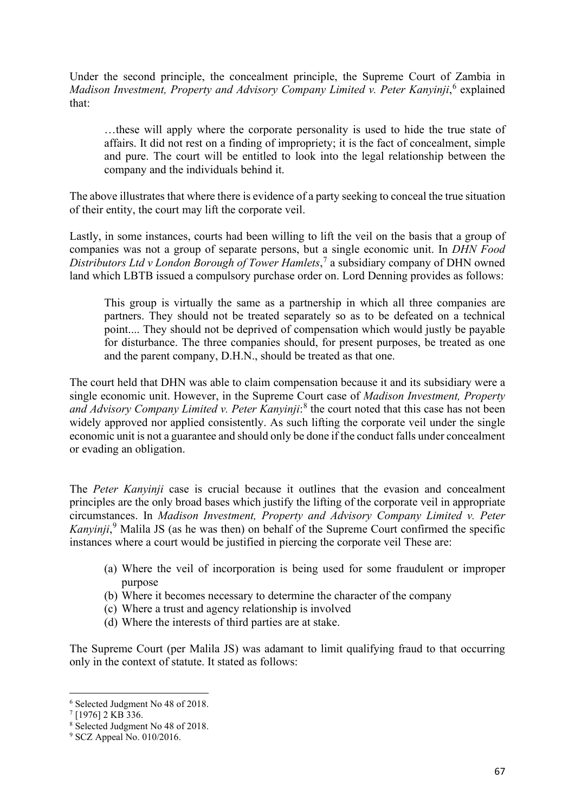Under the second principle, the concealment principle, the Supreme Court of Zambia in Madison Investment, Property and Advisory Company Limited v. Peter Kanyinji,<sup>[6](#page-4-0)</sup> explained that:

…these will apply where the corporate personality is used to hide the true state of affairs. It did not rest on a finding of impropriety; it is the fact of concealment, simple and pure. The court will be entitled to look into the legal relationship between the company and the individuals behind it.

The above illustrates that where there is evidence of a party seeking to conceal the true situation of their entity, the court may lift the corporate veil.

Lastly, in some instances, courts had been willing to lift the veil on the basis that a group of companies was not a group of separate persons, but a single economic unit. In *DHN Food Distributors Ltd v London Borough of Tower Hamlets*, [7](#page-4-1) a subsidiary company of DHN owned land which LBTB issued a compulsory purchase order on. Lord Denning provides as follows:

This group is virtually the same as a partnership in which all three companies are partners. They should not be treated separately so as to be defeated on a technical point.... They should not be deprived of compensation which would justly be payable for disturbance. The three companies should, for present purposes, be treated as one and the parent company, D.H.N., should be treated as that one.

The court held that DHN was able to claim compensation because it and its subsidiary were a single economic unit. However, in the Supreme Court case of *Madison Investment, Property*  and Advisory Company Limited v. Peter Kanyinji:<sup>[8](#page-4-2)</sup> the court noted that this case has not been widely approved nor applied consistently. As such lifting the corporate veil under the single economic unit is not a guarantee and should only be done if the conduct falls under concealment or evading an obligation.

The *Peter Kanyinji* case is crucial because it outlines that the evasion and concealment principles are the only broad bases which justify the lifting of the corporate veil in appropriate circumstances. In *Madison Investment, Property and Advisory Company Limited v. Peter Kanyinji*, [9](#page-4-3) Malila JS (as he was then) on behalf of the Supreme Court confirmed the specific instances where a court would be justified in piercing the corporate veil These are:

- (a) Where the veil of incorporation is being used for some fraudulent or improper purpose
- (b) Where it becomes necessary to determine the character of the company
- (c) Where a trust and agency relationship is involved
- (d) Where the interests of third parties are at stake.

The Supreme Court (per Malila JS) was adamant to limit qualifying fraud to that occurring only in the context of statute. It stated as follows:

<span id="page-4-0"></span><sup>6</sup> Selected Judgment No 48 of 2018.

<span id="page-4-1"></span> $7$  [1976] 2 KB 336.

<span id="page-4-2"></span><sup>8</sup> Selected Judgment No 48 of 2018.

<span id="page-4-3"></span><sup>9</sup> SCZ Appeal No. 010/2016.